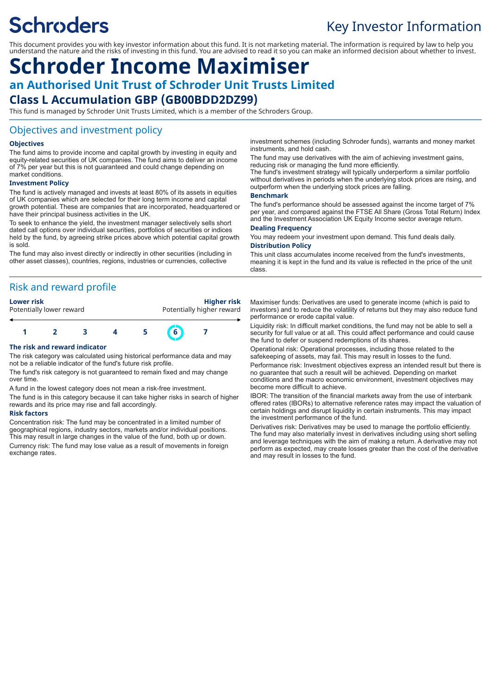# **Schroders**

### Key Investor Information

This document provides you with key investor information about this fund. It is not marketing material. The information is required by law to help you understand the nature and the risks of investing in this fund. You are advised to read it so you can make an informed decision about whether to invest.

## **Schroder Income Maximiser an Authorised Unit Trust of Schroder Unit Trusts Limited**

### **Class L Accumulation GBP (GB00BDD2DZ99)**

This fund is managed by Schroder Unit Trusts Limited, which is a member of the Schroders Group.

#### Objectives and investment policy

#### **Objectives**

The fund aims to provide income and capital growth by investing in equity and equity-related securities of UK companies. The fund aims to deliver an income of 7% per year but this is not guaranteed and could change depending on market conditions.

#### **Investment Policy**

The fund is actively managed and invests at least 80% of its assets in equities of UK companies which are selected for their long term income and capital growth potential. These are companies that are incorporated, headquartered or have their principal business activities in the UK.

To seek to enhance the yield, the investment manager selectively sells short dated call options over individual securities, portfolios of securities or indices held by the fund, by agreeing strike prices above which potential capital growth is sold.

The fund may also invest directly or indirectly in other securities (including in other asset classes), countries, regions, industries or currencies, collective

#### Risk and reward profile

#### **Lower risk Higher risk**

Potentially lower reward **Potentially higher reward 1 2 3 4 5 6 7**

#### **The risk and reward indicator**

The risk category was calculated using historical performance data and may not be a reliable indicator of the fund's future risk profile.

The fund's risk category is not guaranteed to remain fixed and may change over time.

A fund in the lowest category does not mean a risk-free investment.

The fund is in this category because it can take higher risks in search of higher rewards and its price may rise and fall accordingly.

#### **Risk factors**

Concentration risk: The fund may be concentrated in a limited number of geographical regions, industry sectors, markets and/or individual positions. This may result in large changes in the value of the fund, both up or down. Currency risk: The fund may lose value as a result of movements in foreign exchange rates.

investment schemes (including Schroder funds), warrants and money market instruments, and hold cash.

The fund may use derivatives with the aim of achieving investment gains, reducing risk or managing the fund more efficiently.

The fund's investment strategy will typically underperform a similar portfolio without derivatives in periods when the underlying stock prices are rising, and outperform when the underlying stock prices are falling.

#### **Benchmark**

The fund's performance should be assessed against the income target of 7% per year, and compared against the FTSE All Share (Gross Total Return) Index and the Investment Association UK Equity Income sector average return.

#### **Dealing Frequency**

You may redeem your investment upon demand. This fund deals daily. **Distribution Policy**

This unit class accumulates income received from the fund's investments, meaning it is kept in the fund and its value is reflected in the price of the unit class.

Maximiser funds: Derivatives are used to generate income (which is paid to investors) and to reduce the volatility of returns but they may also reduce fund performance or erode capital value.

Liquidity risk: In difficult market conditions, the fund may not be able to sell a security for full value or at all. This could affect performance and could cause the fund to defer or suspend redemptions of its shares.

Operational risk: Operational processes, including those related to the safekeeping of assets, may fail. This may result in losses to the fund. Performance risk: Investment objectives express an intended result but there is no guarantee that such a result will be achieved. Depending on market conditions and the macro economic environment, investment objectives may become more difficult to achieve.

IBOR: The transition of the financial markets away from the use of interbank offered rates (IBORs) to alternative reference rates may impact the valuation of certain holdings and disrupt liquidity in certain instruments. This may impact the investment performance of the fund.

Derivatives risk: Derivatives may be used to manage the portfolio efficiently. The fund may also materially invest in derivatives including using short selling and leverage techniques with the aim of making a return. A derivative may not perform as expected, may create losses greater than the cost of the derivative and may result in losses to the fund.